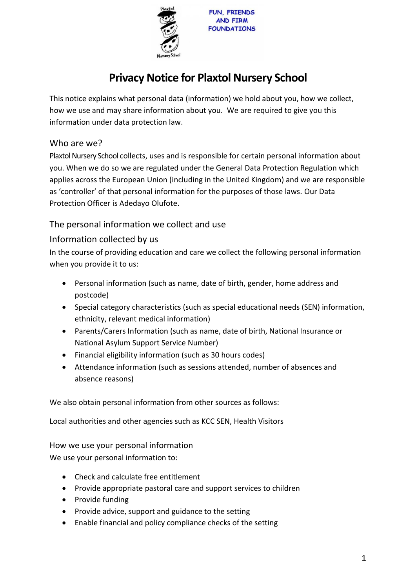

# **Privacy Notice for Plaxtol Nursery School**

This notice explains what personal data (information) we hold about you, how we collect, how we use and may share information about you. We are required to give you this information under data protection law.

## Who are we?

Plaxtol Nursery School collects, uses and is responsible for certain personal information about you. When we do so we are regulated under the General Data Protection Regulation which applies across the European Union (including in the United Kingdom) and we are responsible as 'controller' of that personal information for the purposes of those laws. Our Data Protection Officer is Adedayo Olufote.

## The personal information we collect and use

## Information collected by us

In the course of providing education and care we collect the following personal information when you provide it to us:

- Personal information (such as name, date of birth, gender, home address and postcode)
- Special category characteristics (such as special educational needs (SEN) information, ethnicity, relevant medical information)
- Parents/Carers Information (such as name, date of birth, National Insurance or National Asylum Support Service Number)
- Financial eligibility information (such as 30 hours codes)
- Attendance information (such as sessions attended, number of absences and absence reasons)

We also obtain personal information from other sources as follows:

Local authorities and other agencies such as KCC SEN, Health Visitors

How we use your personal information

We use your personal information to:

- Check and calculate free entitlement
- Provide appropriate pastoral care and support services to children
- Provide funding
- Provide advice, support and guidance to the setting
- Enable financial and policy compliance checks of the setting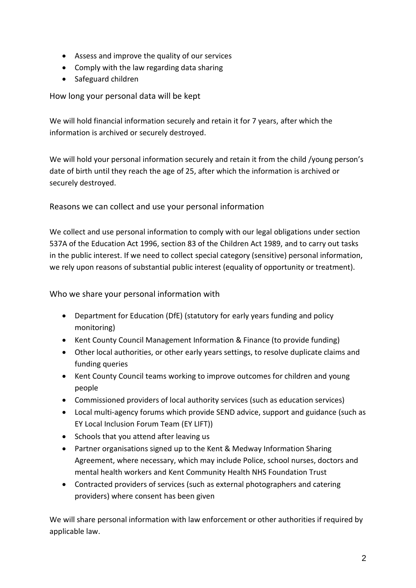- Assess and improve the quality of our services
- Comply with the law regarding data sharing
- Safeguard children

How long your personal data will be kept

We will hold financial information securely and retain it for 7 years, after which the information is archived or securely destroyed.

We will hold your personal information securely and retain it from the child /young person's date of birth until they reach the age of 25, after which the information is archived or securely destroyed.

Reasons we can collect and use your personal information

We collect and use personal information to comply with our legal obligations under section 537A of the Education Act 1996, section 83 of the Children Act 1989, and to carry out tasks in the public interest. If we need to collect special category (sensitive) personal information, we rely upon reasons of substantial public interest (equality of opportunity or treatment).

Who we share your personal information with

- Department for Education (DfE) (statutory for early years funding and policy monitoring)
- Kent County Council Management Information & Finance (to provide funding)
- Other local authorities, or other early years settings, to resolve duplicate claims and funding queries
- Kent County Council teams working to improve outcomes for children and young people
- Commissioned providers of local authority services (such as education services)
- Local multi-agency forums which provide SEND advice, support and guidance (such as EY Local Inclusion Forum Team (EY LIFT))
- Schools that you attend after leaving us
- Partner organisations signed up to the Kent & Medway Information Sharing Agreement, where necessary, which may include Police, school nurses, doctors and mental health workers and Kent Community Health NHS Foundation Trust
- Contracted providers of services (such as external photographers and catering providers) where consent has been given

We will share personal information with law enforcement or other authorities if required by applicable law.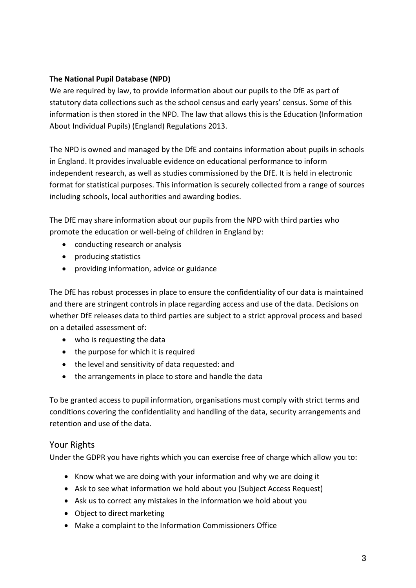#### **The National Pupil Database (NPD)**

We are required by law, to provide information about our pupils to the DfE as part of statutory data collections such as the school census and early years' census. Some of this information is then stored in the NPD. The law that allows this is the Education (Information About Individual Pupils) (England) Regulations 2013.

The NPD is owned and managed by the DfE and contains information about pupils in schools in England. It provides invaluable evidence on educational performance to inform independent research, as well as studies commissioned by the DfE. It is held in electronic format for statistical purposes. This information is securely collected from a range of sources including schools, local authorities and awarding bodies.

The DfE may share information about our pupils from the NPD with third parties who promote the education or well-being of children in England by:

- conducting research or analysis
- producing statistics
- providing information, advice or guidance

The DfE has robust processes in place to ensure the confidentiality of our data is maintained and there are stringent controls in place regarding access and use of the data. Decisions on whether DfE releases data to third parties are subject to a strict approval process and based on a detailed assessment of:

- who is requesting the data
- the purpose for which it is required
- the level and sensitivity of data requested: and
- the arrangements in place to store and handle the data

To be granted access to pupil information, organisations must comply with strict terms and conditions covering the confidentiality and handling of the data, security arrangements and retention and use of the data.

## Your Rights

Under the GDPR you have rights which you can exercise free of charge which allow you to:

- Know what we are doing with your information and why we are doing it
- Ask to see what information we hold about you (Subject Access Request)
- Ask us to correct any mistakes in the information we hold about you
- Object to direct marketing
- Make a complaint to the Information Commissioners Office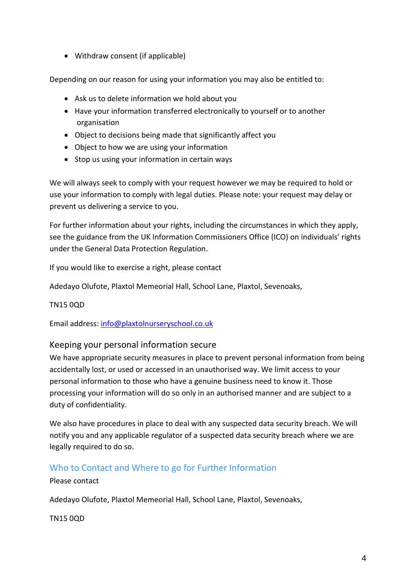• Withdraw consent (if applicable)

Depending on our reason for using your information you may also be entitled to:

- Ask us to delete information we hold about you
- Have your information transferred electronically to yourself or to another organisation
- Object to decisions being made that significantly affect you
- Object to how we are using your information
- Stop us using your information in certain ways

We will always seek to comply with your request however we may be required to hold or use your information to comply with legal duties. Please note: your request may delay or prevent us delivering a service to you.

For further information about your rights, including the circumstances in which they apply, see the guidance from the UK Information Commissioners Office (ICO) on individuals' rights under the General Data Protection Regulation.

If you would like to exercise a right, please contact

Adedayo Olufote, Plaxtol Memeorial Hall, School Lane, Plaxtol, Sevenoaks,

TN15 0QD

Email address: [info@plaxtolnurseryschool.co.uk](mailto:info@plaxtolnurseryschool.co.uk)

#### Keeping your personal information secure

We have appropriate security measures in place to prevent personal information from being accidentally lost, or used or accessed in an unauthorised way. We limit access to your personal information to those who have a genuine business need to know it. Those processing your information will do so only in an authorised manner and are subject to a duty of confidentiality.

We also have procedures in place to deal with any suspected data security breach. We will notify you and any applicable regulator of a suspected data security breach where we are legally required to do so.

### Who to Contact and Where to go for Further Information

Please contact

Adedayo Olufote, Plaxtol Memeorial Hall, School Lane, Plaxtol, Sevenoaks,

TN15 0QD